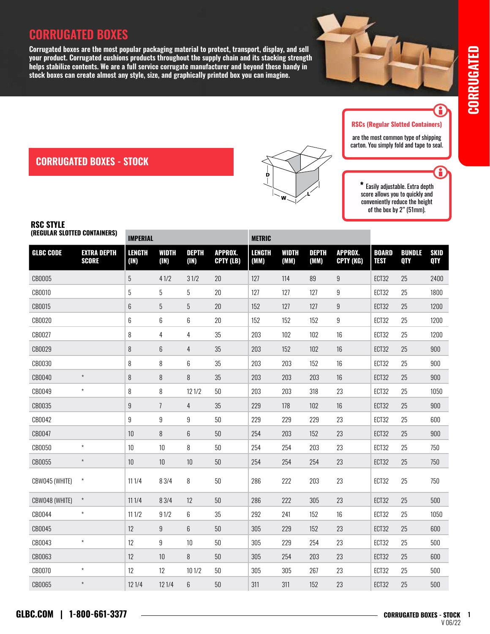# **CORRUGATED BOXES**

**Corrugated boxes are the most popular packaging material to protect, transport, display, and sell your product. Corrugated cushions products throughout the supply chain and its stacking strength helps stabilize contents. We are a full service corrugate manufacturer and beyond these handy in stock boxes can create almost any style, size, and graphically printed box you can imagine.**  *are the most common*  $\overline{\text{k}}$ ing strength  $\frac{1}{\pi}$  hese handy in



#### RSCs (Regular Slotted Containers)

are the most common type of shipping carton. You simply fold and tape to seal.

Ĥ

H

Easily adjustable. Extra depth score allows you to quickly and conveniently reduce the height of the box by 2" (51mm).

### **CORRUGATED BOXES - STOCK**

# RSC STYLE

|                  | (REGULAR SLOTTED CONTAINERS)       |                       | <b>IMPERIAL</b>      |                      |                             |                       | <b>METRIC</b>        |                      |                             |                             |                             |                           |  |
|------------------|------------------------------------|-----------------------|----------------------|----------------------|-----------------------------|-----------------------|----------------------|----------------------|-----------------------------|-----------------------------|-----------------------------|---------------------------|--|
| <b>GLBC CODE</b> | <b>EXTRA DEPTH</b><br><b>SCORE</b> | <b>LENGTH</b><br>(1N) | <b>WIDTH</b><br>(IN) | <b>DEPTH</b><br>(1N) | <b>APPROX.</b><br>CPTY (LB) | <b>LENGTH</b><br>(MM) | <b>WIDTH</b><br>(MM) | <b>DEPTH</b><br>(MM) | <b>APPROX.</b><br>CPTY (KG) | <b>BOARD</b><br><b>TEST</b> | <b>BUNDLE</b><br><b>QTY</b> | <b>SKID</b><br><b>QTY</b> |  |
| CB0005           |                                    | $\overline{5}$        | 41/2                 | 31/2                 | $20\,$                      | 127                   | 114                  | 89                   | $\overline{9}$              | ECT32                       | 25                          | 2400                      |  |
| CB0010           |                                    | 5                     | $\overline{5}$       | $\overline{5}$       | $20\,$                      | 127                   | 127                  | 127                  | $9\phantom{.0}$             | ECT32                       | 25                          | 1800                      |  |
| CB0015           |                                    | 6                     | 5                    | 5                    | 20                          | 152                   | 127                  | 127                  | 9                           | ECT32                       | 25                          | 1200                      |  |
| CB0020           |                                    | 6                     | 6                    | 6                    | 20                          | 152                   | 152                  | 152                  | 9                           | ECT32                       | 25                          | 1200                      |  |
| CB0027           |                                    | 8                     | 4                    | 4                    | 35                          | 203                   | 102                  | 102                  | 16                          | ECT32                       | 25                          | 1200                      |  |
| CB0029           |                                    | 8                     | 6                    | 4                    | 35                          | 203                   | 152                  | 102                  | $16\,$                      | ECT32                       | 25                          | 900                       |  |
| CB0030           |                                    | 8                     | 8                    | 6                    | 35                          | 203                   | 203                  | 152                  | 16                          | ECT32                       | 25                          | 900                       |  |
| CB0040           | $^\star$                           | 8                     | $\, 8$               | $\, 8$               | 35                          | 203                   | 203                  | 203                  | 16                          | ECT32                       | 25                          | 900                       |  |
| CB0049           | $\star$                            | 8                     | 8                    | 12 1/2               | $50\,$                      | 203                   | 203                  | 318                  | 23                          | ECT32                       | 25                          | 1050                      |  |
| CB0035           |                                    | 9                     | $\overline{1}$       | 4                    | 35                          | 229                   | 178                  | 102                  | 16                          | ECT32                       | 25                          | 900                       |  |
| CB0042           |                                    | 9                     | $\boldsymbol{9}$     | 9                    | 50                          | 229                   | 229                  | 229                  | 23                          | ECT32                       | 25                          | 600                       |  |
| CB0047           |                                    | 10                    | 8                    | 6                    | $50\,$                      | 254                   | 203                  | 152                  | 23                          | ECT32                       | 25                          | 900                       |  |
| CB0050           | $\star$                            | 10                    | $10\,$               | 8                    | $50\,$                      | 254                   | 254                  | 203                  | 23                          | ECT32                       | 25                          | 750                       |  |
| CB0055           | $\star$                            | 10                    | $10$                 | 10                   | $50\,$                      | 254                   | 254                  | 254                  | 23                          | ECT32                       | 25                          | 750                       |  |
| CBW045 (WHITE)   | $\star$                            | 111/4                 | 8 3/4                | 8                    | 50                          | 286                   | 222                  | 203                  | 23                          | ECT32                       | 25                          | 750                       |  |
| CBW048 (WHITE)   | $\star$                            | 111/4                 | 8 3/4                | 12                   | 50                          | 286                   | 222                  | 305                  | 23                          | ECT32                       | 25                          | 500                       |  |
| CB0044           | $\star$                            | 111/2                 | 91/2                 | 6                    | 35                          | 292                   | 241                  | 152                  | 16                          | ECT32                       | 25                          | 1050                      |  |
| CB0045           |                                    | 12                    | $\boldsymbol{9}$     | 6                    | 50                          | 305                   | 229                  | 152                  | 23                          | ECT32                       | 25                          | 600                       |  |
| CB0043           | $\star$                            | 12                    | 9                    | 10                   | 50                          | 305                   | 229                  | 254                  | 23                          | ECT32                       | 25                          | 500                       |  |
| CB0063           |                                    | 12                    | 10                   | 8                    | 50                          | 305                   | 254                  | 203                  | 23                          | ECT32                       | 25                          | 600                       |  |
| CB0070           | $\star$                            | 12                    | 12                   | 101/2                | $50\,$                      | 305                   | 305                  | 267                  | 23                          | ECT32                       | 25                          | 500                       |  |
| CB0065           | $\star$                            | 12 1/4                | 121/4                | 6                    | 50                          | 311                   | 311                  | 152                  | 23                          | ECT32                       | 25                          | 500                       |  |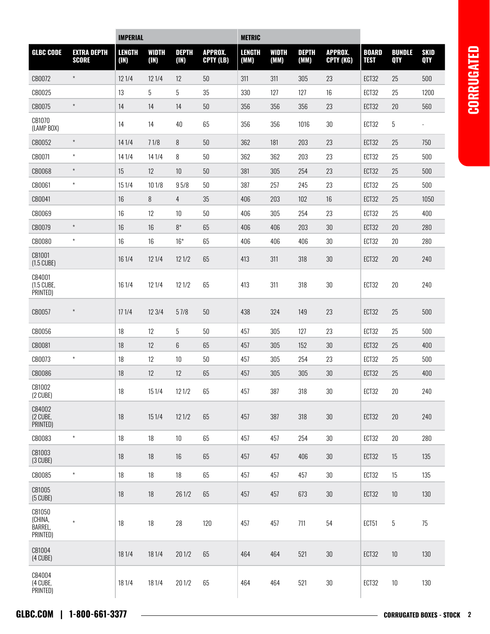|                                            |                                    | <b>IMPERIAL</b>       |               |                      |                             | <b>METRIC</b>         |               |                      |                             |                             |                             |                           |
|--------------------------------------------|------------------------------------|-----------------------|---------------|----------------------|-----------------------------|-----------------------|---------------|----------------------|-----------------------------|-----------------------------|-----------------------------|---------------------------|
| <b>GLBC CODE</b>                           | <b>EXTRA DEPTH</b><br><b>SCORE</b> | <b>LENGTH</b><br>(1N) | WIDTH<br>(1N) | <b>DEPTH</b><br>(1N) | <b>APPROX.</b><br>CPTY (LB) | <b>LENGTH</b><br>(MM) | WIDTH<br>(MM) | <b>DEPTH</b><br>(MM) | <b>APPROX.</b><br>CPTY (KG) | <b>BOARD</b><br><b>TEST</b> | <b>BUNDLE</b><br><b>QTY</b> | <b>SKID</b><br><b>QTY</b> |
| CB0072                                     | $^\star$                           | 12 1/4                | 12 1/4        | 12                   | $50\,$                      | 311                   | 311           | 305                  | 23                          | ECT32                       | 25                          | 500                       |
| CB0025                                     |                                    | 13                    | 5             | $5\,$                | 35                          | 330                   | 127           | 127                  | 16                          | ECT32                       | 25                          | 1200                      |
| CB0075                                     | $^\star$                           | 14                    | 14            | 14                   | 50                          | 356                   | 356           | 356                  | 23                          | ECT32                       | 20                          | 560                       |
| CB1070<br>(LAMP BOX)                       |                                    | 14                    | 14            | 40                   | 65                          | 356                   | 356           | 1016                 | $30\,$                      | ECT32                       | $\overline{5}$              |                           |
| CB0052                                     | $^\star$                           | 14 1/4                | 71/8          | 8                    | $50\,$                      | 362                   | 181           | 203                  | 23                          | ECT32                       | 25                          | 750                       |
| CB0071                                     | $\star$                            | 14 1/4                | 14 1/4        | 8                    | 50                          | 362                   | 362           | 203                  | 23                          | ECT32                       | 25                          | 500                       |
| CB0068                                     | $^\star$                           | 15                    | 12            | 10                   | $50\,$                      | 381                   | 305           | 254                  | 23                          | ECT32                       | 25                          | 500                       |
| CB0061                                     | $\star$                            | 151/4                 | 10 1/8        | 95/8                 | 50                          | 387                   | 257           | 245                  | 23                          | ECT32                       | 25                          | 500                       |
| CB0041                                     |                                    | 16                    | 8             | 4                    | 35                          | 406                   | 203           | 102                  | 16                          | ECT32                       | 25                          | 1050                      |
| CB0069                                     |                                    | 16                    | 12            | 10                   | $50\,$                      | 406                   | 305           | 254                  | 23                          | ECT32                       | 25                          | 400                       |
| CB0079                                     | $\star$                            | 16                    | 16            | $8*$                 | 65                          | 406                   | 406           | 203                  | $30\,$                      | ECT32                       | $20\,$                      | 280                       |
| CB0080                                     | $\star$                            | 16                    | 16            | $16*$                | 65                          | 406                   | 406           | 406                  | $30\,$                      | ECT32                       | 20                          | 280                       |
| CB1001<br>$(1.5 \text{ C} \cup \text{BE})$ |                                    | 16 1/4                | 12 1/4        | 121/2                | 65                          | 413                   | 311           | 318                  | $30\,$                      | ECT32                       | 20                          | 240                       |
| CB4001<br>(1.5 CUBE,<br>PRINTED)           |                                    | 16 1/4                | 121/4         | 12 1/2               | 65                          | 413                   | 311           | 318                  | $30\,$                      | ECT32                       | 20                          | 240                       |
| CB0057                                     | $\star$                            | 171/4                 | 12 3/4        | 57/8                 | $50\,$                      | 438                   | 324           | 149                  | 23                          | ECT32                       | 25                          | 500                       |
| CB0056                                     |                                    | 18                    | 12            | 5                    | $50\,$                      | 457                   | 305           | 127                  | 23                          | ECT32                       | 25                          | 500                       |
| CB0081                                     |                                    | 18                    | 12            | 6                    | 65                          | 457                   | 305           | 152                  | $30\,$                      | ECT32                       | 25                          | 400                       |
| CB0073                                     | $\star$                            | 18                    | 12            | 10                   | $50\,$                      | 457                   | 305           | 254                  | 23                          | ECT32                       | 25                          | 500                       |
| CB0086                                     |                                    | 18                    | 12            | 12                   | 65                          | 457                   | 305           | 305                  | 30                          | ECT32                       | 25                          | 400                       |
| CB1002<br>(2 CUBE)                         |                                    | 18                    | $151/4$       | 12 1/2               | 65                          | 457                   | 387           | 318                  | $30\,$                      | ECT32                       | 20                          | 240                       |
| CB4002<br>(2 CUBE,<br>PRINTED)             |                                    | 18                    | 151/4         | 121/2                | 65                          | 457                   | 387           | 318                  | $30\,$                      | ECT32                       | $20\,$                      | 240                       |
| CB0083                                     | $\star$                            | 18                    | 18            | 10                   | 65                          | 457                   | 457           | 254                  | $30\,$                      | ECT32                       | $20\,$                      | 280                       |
| CB1003<br>$(3 \text{ C} \cup \text{BE})$   |                                    | $18\,$                | 18            | 16                   | 65                          | 457                   | 457           | 406                  | $30\,$                      | ECT32                       | 15                          | 135                       |
| CB0085                                     | $\star$                            | 18                    | 18            | 18                   | 65                          | 457                   | 457           | 457                  | $30\,$                      | ECT32                       | 15                          | 135                       |
| CB1005<br>$(5 \text{ C} \cup \text{BE})$   |                                    | $18\,$                | 18            | 26 1/2               | 65                          | 457                   | 457           | 673                  | $30\,$                      | ECT32                       | 10                          | 130                       |
| CB1050<br>(CHINA,<br>BARREL,<br>PRINTED)   | $\star$                            | 18                    | 18            | 28                   | 120                         | 457                   | 457           | 711                  | 54                          | ECT51                       | $\overline{5}$              | 75                        |
| CB1004<br>(4 CUBE)                         |                                    | 18 1/4                | 18 1/4        | $20\,1/2$            | 65                          | 464                   | 464           | 521                  | $30\,$                      | ECT32                       | $10$                        | 130                       |
| CB4004<br>(4 CUBE,<br>PRINTED)             |                                    | 18 1/4                | 18 1/4        | 201/2                | 65                          | 464                   | 464           | 521                  | $30\,$                      | ECT32                       | $10\,$                      | 130                       |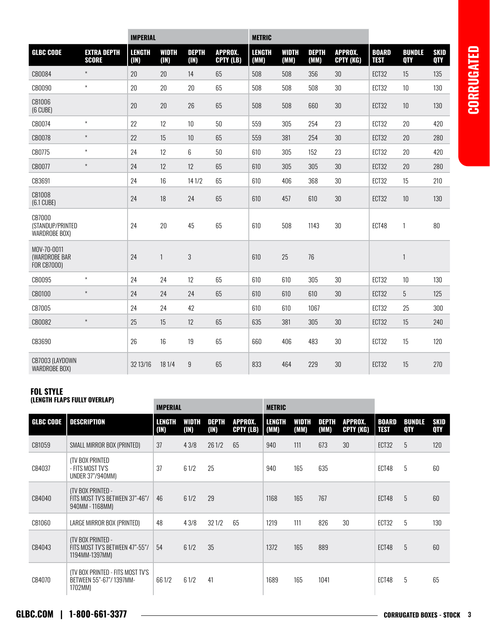|                                                    |                                    | <b>IMPERIAL</b>       |               | <b>METRIC</b>        |                             |                       |                      |                      |                             |                             |                             |                    |
|----------------------------------------------------|------------------------------------|-----------------------|---------------|----------------------|-----------------------------|-----------------------|----------------------|----------------------|-----------------------------|-----------------------------|-----------------------------|--------------------|
| <b>GLBC CODE</b>                                   | <b>EXTRA DEPTH</b><br><b>SCORE</b> | <b>LENGTH</b><br>(1N) | WIDTH<br>(1N) | <b>DEPTH</b><br>(IN) | <b>APPROX.</b><br>CPTY (LB) | <b>LENGTH</b><br>(MM) | <b>WIDTH</b><br>(MM) | <b>DEPTH</b><br>(MM) | <b>APPROX.</b><br>CPTY (KG) | <b>BOARD</b><br><b>TEST</b> | <b>BUNDLE</b><br><b>QTY</b> | <b>SKID</b><br>QTY |
| CB0084                                             | $\star$                            | 20                    | 20            | 14                   | 65                          | 508                   | 508                  | 356                  | 30                          | ECT32                       | 15                          | 135                |
| CB0090                                             | $\star$                            | 20                    | 20            | 20                   | 65                          | 508                   | 508                  | 508                  | 30                          | ECT32                       | 10                          | 130                |
| CB1006<br>$(6$ CUBE)                               |                                    | 20                    | 20            | 26                   | 65                          | 508                   | 508                  | 660                  | 30                          | ECT32                       | 10                          | 130                |
| CB0074                                             | $\star$                            | 22                    | 12            | $10\,$               | 50                          | 559                   | 305                  | 254                  | 23                          | ECT32                       | 20                          | 420                |
| CB0078                                             | $\star$                            | 22                    | 15            | $10$                 | 65                          | 559                   | 381                  | 254                  | 30                          | ECT32                       | 20                          | 280                |
| CB0775                                             | $\star$                            | 24                    | 12            | 6                    | 50                          | 610                   | 305                  | 152                  | 23                          | ECT32                       | 20                          | 420                |
| CB0077                                             | $\star$                            | 24                    | 12            | 12                   | 65                          | 610                   | 305                  | 305                  | 30                          | ECT32                       | 20                          | 280                |
| CB3691                                             |                                    | 24                    | 16            | 14 1/2               | 65                          | 610                   | 406                  | 368                  | 30                          | ECT32                       | 15                          | 210                |
| CB1008<br>(6.1 CUBE)                               |                                    | 24                    | 18            | 24                   | 65                          | 610                   | 457                  | 610                  | 30                          | ECT32                       | $10\,$                      | 130                |
| CB7000<br>(STANDUP/PRINTED<br>WARDROBE BOX)        |                                    | 24                    | 20            | 45                   | 65                          | 610                   | 508                  | 1143                 | 30                          | ECT48                       | 1                           | 80                 |
| MOV-70-0011<br>(WARDROBE BAR<br><b>FOR CB7000)</b> |                                    | 24                    | $\mathbf{1}$  | $\sqrt{3}$           |                             | 610                   | 25                   | $76\,$               |                             |                             | $\mathbf{1}$                |                    |
| CB0095                                             | $\star$                            | 24                    | 24            | 12                   | 65                          | 610                   | 610                  | 305                  | 30                          | ECT32                       | 10                          | 130                |
| CB0100                                             | $\star$                            | 24                    | 24            | 24                   | 65                          | 610                   | 610                  | 610                  | 30                          | ECT32                       | 5                           | 125                |
| CB7005                                             |                                    | 24                    | 24            | 42                   |                             | 610                   | 610                  | 1067                 |                             | ECT32                       | 25                          | 300                |
| CB0082                                             | $\star$                            | 25                    | 15            | 12                   | 65                          | 635                   | 381                  | 305                  | 30                          | ECT32                       | 15                          | 240                |
| CB3690                                             |                                    | 26                    | 16            | 19                   | 65                          | 660                   | 406                  | 483                  | $30\,$                      | ECT32                       | 15                          | 120                |
| CB7003 (LAYDOWN<br><b>WARDROBE BOX)</b>            |                                    | 32 13/16              | 18 1/4        | 9                    | 65                          | 833                   | 464                  | 229                  | 30                          | ECT32                       | 15                          | 270                |

**College** 

#### FOL STYLE (LENGTH FLAPS FULLY OVERLAP)

|                  | (EENGTH TEAT V TOEET OTENEAT)                                                  | <b>IMPERIAL</b>                                                                        |      |                |               | <b>METRIC</b>        |                      |                             |                             |                    |   |     |
|------------------|--------------------------------------------------------------------------------|----------------------------------------------------------------------------------------|------|----------------|---------------|----------------------|----------------------|-----------------------------|-----------------------------|--------------------|---|-----|
| <b>GLBC CODE</b> | <b>DESCRIPTION</b>                                                             | LENGTH<br><b>DEPTH</b><br><b>APPROX.</b><br>WIDTH<br>(IN)<br>(1N)<br>(1N)<br>CPTY (LB) |      | LENGTH<br>(MM) | WIDTH<br>(MM) | <b>DEPTH</b><br>(MM) | APPROX.<br>CPTY (KG) | <b>BOARD</b><br><b>TEST</b> | <b>BUNDLE</b><br><b>QTY</b> | SKID<br><b>QTY</b> |   |     |
| CB1059           | SMALL MIRROR BOX (PRINTED)                                                     | 37                                                                                     | 43/8 | 26 1/2         | 65            | 940                  | 111                  | 673                         | 30                          | ECT32              | 5 | 120 |
| CB4037           | ITV BOX PRINTED<br>- FITS MOST TV'S<br>UNDER 37"/940MM)                        | 37                                                                                     | 61/2 | 25             |               | 940                  | 165                  | 635                         |                             | ECT48              | 5 | 60  |
| CB4040           | <b>ITV BOX PRINTED -</b><br>FITS MOST TV'S BETWEEN 37"-46"/<br>940MM - 1168MM) | 46                                                                                     | 61/2 | 29             |               | 1168                 | 165                  | 767                         |                             | ECT48              | 5 | 60  |
| CB1060           | LARGE MIRROR BOX (PRINTED)                                                     | 48                                                                                     | 43/8 | 321/2          | 65            | 1219                 | 111                  | 826                         | 30                          | ECT32              | 5 | 130 |
| CB4043           | (TV BOX PRINTED -<br>FITS MOST TV'S BETWEEN 47"-55"/<br>1194MM-1397MM)         | 54                                                                                     | 61/2 | 35             |               | 1372                 | 165                  | 889                         |                             | ECT48              | 5 | 60  |
| CB4070           | ITV BOX PRINTED - FITS MOST TV'S<br>BETWEEN 55"-67"/1397MM-<br>1702MM)         | 661/2                                                                                  | 61/2 | 41             |               | 1689                 | 165                  | 1041                        |                             | ECT48              | 5 | 65  |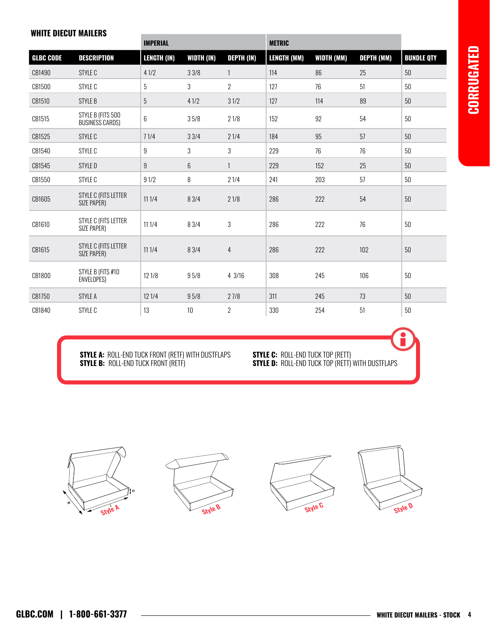#### WHITE DIECUT MAILERS

|                  |                                      | <b>IMPERIAL</b>    |                   | <b>METRIC</b>     |                    |            |                   |                   |
|------------------|--------------------------------------|--------------------|-------------------|-------------------|--------------------|------------|-------------------|-------------------|
| <b>GLBC CODE</b> | <b>DESCRIPTION</b>                   | <b>LENGTH (IN)</b> | <b>WIDTH (IN)</b> | <b>DEPTH (IN)</b> | <b>LENGTH (MM)</b> | WIDTH (MM) | <b>DEPTH (MM)</b> | <b>BUNDLE QTY</b> |
| CB1490           | STYLE C                              | 41/2               | 33/8              | $\mathbf{1}$      | 114                | 86         | 25                | 50                |
| CB1500           | STYLE C                              | 5                  | 3                 | $\overline{2}$    | 127                | 76         | 51                | 50                |
| CB1510           | <b>STYLE B</b>                       | 5                  | 41/2              | 31/2              | 127                | 114        | 89                | 50                |
| CB1515           | STYLE B (FITS 500<br>BUSINESS CARDS) | 6                  | 35/8              | 21/8              | 152                | 92         | 54                | 50                |
| CB1525           | STYLE C                              | 71/4               | 33/4              | 21/4              | 184                | 95         | 57                | 50                |
| CB1540           | STYLE C                              | 9                  | 3                 | 3                 | 229                | 76         | 76                | 50                |
| CB1545           | STYLE D                              | 9                  | 6                 | $\mathbf{1}$      | 229                | 152        | 25                | 50                |
| CB1550           | STYLE C                              | 91/2               | 8                 | 21/4              | 241                | 203        | 57                | $50\,$            |
| CB1605           | STYLE C (FITS LETTER<br>SIZE PAPER)  | 11 1/4             | 8 3/4             | 21/8              | 286                | 222        | 54                | 50                |
| CB1610           | STYLE C (FITS LETTER<br>SIZE PAPER)  | 11 1/4             | 8 3/4             | $\sqrt{3}$        | 286                | 222        | 76                | 50                |
| CB1615           | STYLE C (FITS LETTER<br>SIZE PAPER)  | 111/4              | 8 3/4             | $\overline{4}$    | 286                | 222        | 102               | 50                |
| CB1800           | STYLE B (FITS #10<br>ENVELOPES)      | 12 1/8             | 95/8              | 4 3/16            | 308                | 245        | 106               | 50                |
| CB1750           | <b>STYLE A</b>                       | 12 1/4             | 95/8              | 27/8              | 311                | 245        | 73                | 50                |
| CB1840           | STYLE C                              | 13                 | 10                | $\overline{2}$    | 330                | 254        | 51                | 50                |

**STYLE A:** ROLL-END TUCK FRONT (RETF) WITH DUSTFLAPS **STYLE C:** ROLL-END TUCK TOP (RETT) STYLE B: ROLL-END TUCK FRONT (RETF) STYLE D: ROLL-END TUCK TOP (RETT) WITH DUSTFLAPS

**STYLE C:** ROLL-END TUCK TOP (RETT)<br>**STYLE D:** ROLL-END TUCK TOP (RETT) WITH DUSTFLAPS

Style A









Style B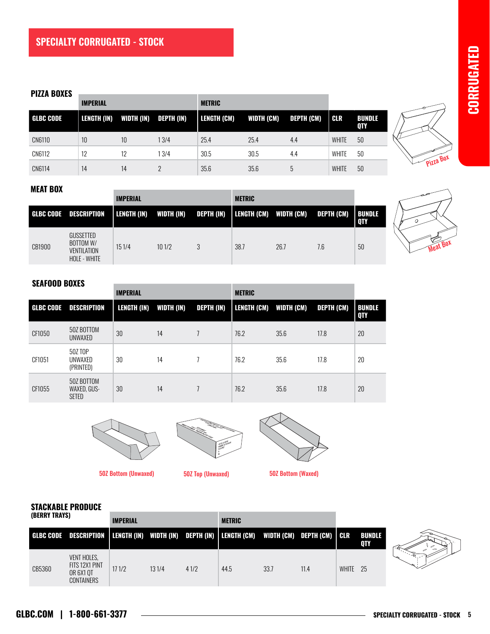#### PIZZA BOXES **Andre Experimental Service Control**er and the control of the control of the control of the control of

|                  | <b>IMPERIAL</b> |            |                   | <b>METRIC</b> |                   |                   |              |                             |
|------------------|-----------------|------------|-------------------|---------------|-------------------|-------------------|--------------|-----------------------------|
| <b>GLBC CODE</b> | LENGTH (IN)     | WIDTH (IN) | <b>DEPTH (IN)</b> | LENGTH (CM)   | <b>WIDTH (CM)</b> | <b>DEPTH (CM)</b> | <b>CLR</b>   | <b>BUNDLE</b><br><b>QTY</b> |
| CN6110           | 10              | 10         | 13/4              | 25.4          | 25.4              | 4.4               | <b>WHITE</b> | 50                          |
| CN6112           | 12              | 12         | 13/4              | 30.5          | 30.5              | 4.4               | <b>WHITE</b> | 50                          |
| CN6114           | 14              | 14         | っ                 | 35.6          | 35.6              | 5                 | <b>WHITE</b> | 50                          |



#### MEAT BOX

|        |                                                                     | <b>IMPERIAL</b> |            |            | <b>METRIC</b> |                                   |     |                        |
|--------|---------------------------------------------------------------------|-----------------|------------|------------|---------------|-----------------------------------|-----|------------------------|
|        | <b>GLBC CODE DESCRIPTION</b>                                        | LENGTH (IN)     | WIDTH (IN) | DEPTH (IN) |               | LENGTH (CM) WIDTH (CM) DEPTH (CM) |     | <b>BUNDLE</b><br>  QTY |
| CB1900 | <b>GUSSETTED</b><br>BOTTOM W/<br><b>VENTILATION</b><br>HOLE - WHITE | 151/4           | 101/2      |            | 38.7          | 26.7                              | 7.6 | 50                     |

#### SEAFOOD BOXES

|                  |                                           | <b>IMPERIAL</b>    |                   |                   | <b>METRIC</b>          |      |                   |                             |
|------------------|-------------------------------------------|--------------------|-------------------|-------------------|------------------------|------|-------------------|-----------------------------|
| <b>GLBC CODE</b> | DESCRIPTION                               | <b>LENGTH (IN)</b> | <b>WIDTH (IN)</b> | <b>DEPTH (IN)</b> | LENGTH (CM) WIDTH (CM) |      | <b>DEPTH (CM)</b> | <b>BUNDLE</b><br><b>QTY</b> |
| CF1050           | 50Z BOTTOM<br>UNWAXED                     | 30                 | 14                |                   | 76.2                   | 35.6 | 17.8              | 20                          |
| CF1051           | 50Z TOP<br>UNWAXED<br>(PRINTED)           | 30                 | 14                |                   | 76.2                   | 35.6 | 17.8              | 20                          |
| CF1055           | 50Z BOTTOM<br>WAXED, GUS-<br><b>SETED</b> | 30                 | 14                |                   | 76.2                   | 35.6 | 17.8              | 20                          |

\_\_\_\_\_\_\_





50Z Top (Unwaxed) 50Z Bottom (Unwaxed) 50Z Top (Unwaxed) 50Z Bottom (Waxed) 50Z Top (Unwaxed) 50Z Bottom (Unwaxed) 50Z Bottom (Unwaxed) 50Z Bottom (Waxed) 50Z Bottom (Waxed)





# STACKABLE PRODUCE

| (BERRY TRAYS) |                                                                                                     | <b>IMPERIAL</b> |       |      | <b>METRIC</b> |      |      |              |                      |                            |
|---------------|-----------------------------------------------------------------------------------------------------|-----------------|-------|------|---------------|------|------|--------------|----------------------|----------------------------|
|               | GLBC CODE DESCRIPTION   LENGTH (IN) WIDTH (IN) DEPTH (IN)   LENGTH (CM) WIDTH (CM) DEPTH (CM)   CLR |                 |       |      |               |      |      |              | <b>BUNDLE</b><br>QTY |                            |
| CB5360        | <b>VENT HOLES,</b><br>FITS 12X1 PINT<br>OR 6X1 OT<br><b>CONTAINERS</b>                              | 171/2           | 131/4 | 41/2 | 44.5          | 33.7 | 11.4 | <b>WHITE</b> | 25                   | $\mathbb{Z}_{\mathcal{B}}$ |

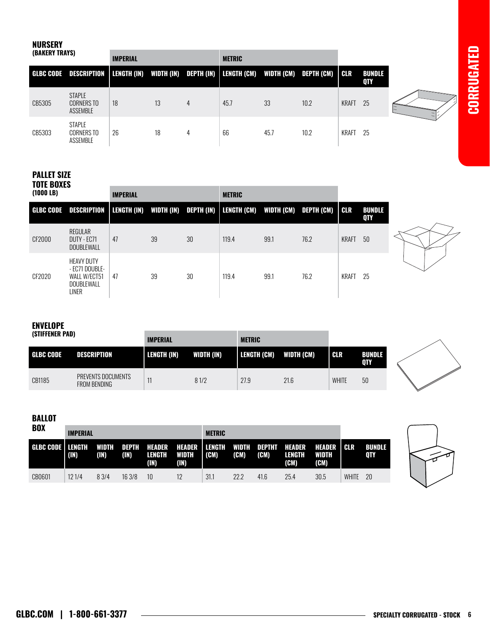**CORRUGATED CORRUGATED**

# NURSERY

| (BAKERY TRAYS) |                                                | <b>IMPERIAL</b> |    |   | <b>METRIC</b>                                          |      |      |              |                             |  |
|----------------|------------------------------------------------|-----------------|----|---|--------------------------------------------------------|------|------|--------------|-----------------------------|--|
|                | GLBC CODE DESCRIPTION   LENGTH (IN) WIDTH (IN) |                 |    |   | DEPTH (IN)   LENGTH (CM)     WIDTH (CM)     DEPTH (CM) |      |      | <b>CLR</b>   | <b>BUNDLE</b><br><b>QTY</b> |  |
| CB5305         | <b>STAPLE</b><br><b>CORNERS TO</b><br>ASSEMBLE | 18              | 13 | 4 | 45.7                                                   | 33   | 10.2 | <b>KRAFT</b> | 25                          |  |
| CB5303         | <b>STAPLE</b><br><b>CORNERS TO</b><br>ASSEMBLE | 26              | 18 | 4 | 66                                                     | 45.7 | 10.2 | KRAFT        | -25                         |  |

### PALLET SIZE TOTE BOXES

| (1000 LB)        |                                                                                   | <b>IMPERIAL</b> |    |    | <b>METRIC</b>                                                         |      |      |              |                      |
|------------------|-----------------------------------------------------------------------------------|-----------------|----|----|-----------------------------------------------------------------------|------|------|--------------|----------------------|
| <b>GLBC CODE</b> | DESCRIPTION                                                                       |                 |    |    | LENGTH (IN) WIDTH (IN) DEPTH (IN)   LENGTH (CM) WIDTH (CM) DEPTH (CM) |      |      | I CLR        | <b>BUNDLE</b><br>QTY |
| CF2000           | REGULAR<br>DUTY - EC71<br><b>DOUBLEWALL</b>                                       | 47              | 39 | 30 | 119.4                                                                 | 99.1 | 76.2 | <b>KRAFT</b> | 50                   |
| CF2020           | <b>HEAVY DUTY</b><br>- EC71 DOUBLE-<br>WALL W/ECT51<br>DOUBLEWALL<br><b>LINER</b> | 47              | 39 | 30 | 119.4                                                                 | 99.1 | 76.2 | KRAFT        | -25                  |



# ENVELOPE

| (STIFFENER PAD)  |                                    | <b>IMPERIAL</b> |            | <b>METRIC</b> |            |              |                      |  |
|------------------|------------------------------------|-----------------|------------|---------------|------------|--------------|----------------------|--|
| <b>GLBC CODE</b> | <b>DESCRIPTION</b>                 | LENGTH (IN)     | WIDTH (IN) | LENGTH (CM)   | WIDTH (CM) | I CLR        | <b>BUNDLE</b><br>0TY |  |
| CB1185           | PREVENTS DOCUMENTS<br>FROM BENDING | 11              | 81/2       | 27.9          | 21.6       | <b>WHITE</b> | 50                   |  |

## BALLOT

| <b>BOX</b>         | <b>IMPERIAL</b> |               |               |                                 | <b>METRIC</b>                  |                           |               |                              |                |                                       |              |                      |
|--------------------|-----------------|---------------|---------------|---------------------------------|--------------------------------|---------------------------|---------------|------------------------------|----------------|---------------------------------------|--------------|----------------------|
| GLBC CODE   LENGTH | (IN)            | WIDTH<br>(IN) | DEPTH<br>(IN) | <b>HEADER</b><br>LENGTH<br>(IN) | <b>HEADER</b><br>WIDTH<br>(IN) | <b>LENGTH</b><br>$ $ (CM) | WIDTH<br>(CM) | <b>DEPTHT HEADER</b><br>(CM) | LENGTH<br>(CM) | <b>HEADER</b><br><b>WIDTH</b><br>(CM) | I CLR        | <b>BUNDLE</b><br>0TY |
| CB0601             | 121/4           | 8 3/4         | 163/8         | 10                              | 12                             | 31.1                      | 22.2          | 41.6                         | 25.4           | 30.5                                  | <b>WHITE</b> | -20                  |